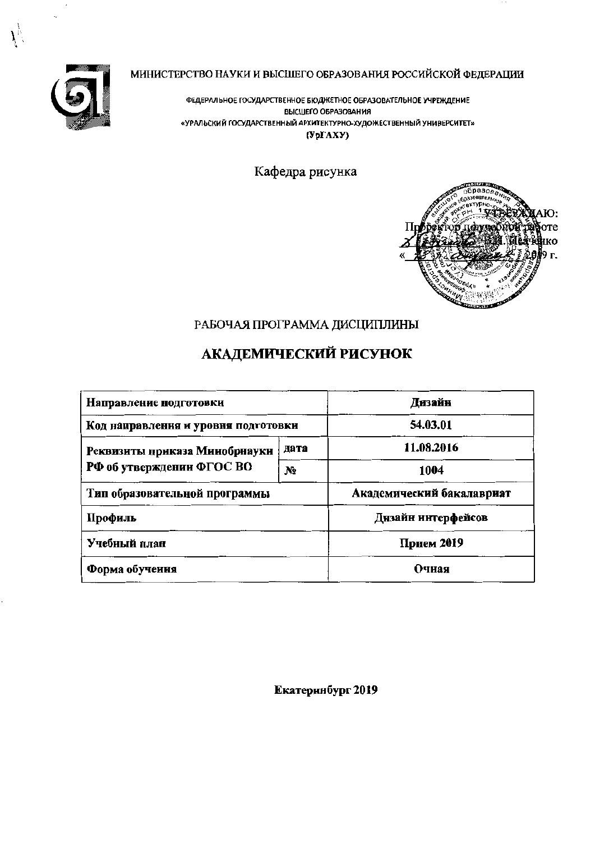

 $\vec{r}$ 

# МИНИСТЕРСТВО НАУКИ И ВЫСШЕГО ОБРАЗОВАНИЯ РОССИЙСКОЙ ФЕДЕРАЦИИ

ФЕДЕРАЛЬНОЕ ГОСУДАРСТВЕННОЕ БЮДЖЕТНОЕ ОБРАЗОВАТЕЛЬНОЕ УЧРЕЖДЕНИЕ ВЫСШЕГО ОБРАЗОВАНИЯ «УРАЛЬСКИЙ ГОСУДАРСТВЕННЫЙ АРХИТЕКТУРНО-ХУДОЖЕСТВЕННЫЙ УНИВЕРСИТЕТ»  $(Yp\Gamma AXY)$ 

Кафедра рисунка



 $\sim$   $\sim$ 

# РАБОЧАЯ ПРОГРАММА ДИСЦИПЛИНЫ

# АКАДЕМИЧЕСКИЙ РИСУНОК

| Направление подготовки              |       | Дизайн                    |
|-------------------------------------|-------|---------------------------|
| Код направления и уровня подготовки |       | 54.03.01                  |
| Реквизиты приказа Минобриауки       | дата  | 11.08.2016                |
| РФ об утверждении ФГОС ВО           | $N_2$ | 1004                      |
| Тип образовательной программы       |       | Академический бакалавриат |
| Профиль                             |       | Дизайн ннтерфейсов        |
| Учебный план                        |       | Прием 2019                |
| Форма обучения                      |       | Очная                     |

Екатеринбург 2019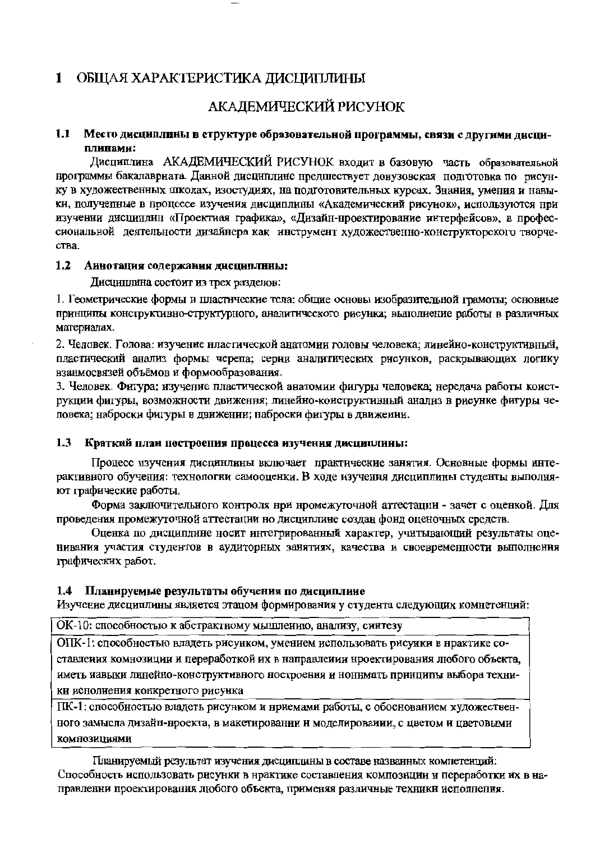#### ОБЩАЯ ХАРАКТЕРИСТИКА ДИСЦИПЛИНЫ  $\mathbf{1}$

# АКАДЕМИЧЕСКИЙ РИСУНОК

#### Место дисциплины в структуре образовательной программы, связи с другими дисци- $1.1$ плинами:

Дисциплина АКАДЕМИЧЕСКИЙ РИСУНОК входит в базовую часть образовательной нрограммы бакалавриата. Данной дисциплине предшествует довузовская подготовка по рисунку в художественных школах, изостудиях, на полготовительных курсах. Знания, умения и навыки, получепные в нроцессе изучения дисциплины «Академический рисунок», используются при изучении дисцинлин «Проектиая графика», «Дизайн-нроектирование интерфейсов», в профессиональной деятельности дизайнера как инструмент художественно-конструкторского творче-CTB<sub>2</sub>

#### $1.2$ Аинотация содержания дисциплины:

Дисциплина состоит из трех разделов:

1. Геометрические формы и пластические тела: общие основы изобразительной грамоты; основные принципы конструктивно-структурного, аналитического рисунка; выполиение работы в различных материалах.

2. Человек. Голова: изучение нластической анатомии головы человека; линейно-конструктивный, пластический анализ формы черепа; серии аналитических рисунков, раскрывающих логику взанмосвязей объёмов и формообразования.

3. Человек. Фигура: изучение пластической анатомин фигуры человека; нередача работы коиструкции фигуры, возможности движення; линейно-коиструктивный анализ в рисунке фигуры человека; наброски фигуры в движении; наброски фигуры в движении.

#### $1.3$ Краткий план построения процесса изучения дисциплины:

Процесс изучения дисцинлины включает практические занятия. Основные формы интерактивного обучения: технологни самооценки. В ходе изучения дисциплины студенты выполняют графические работы.

Форма заключительиого контроля нри нромежуточной аттестации - зачет с оценкой. Для проведения промежуточной аттестации но дисциплине создан фонд оценочных средств.

Оценка по дисциплине носит интегрированный характер, учитывающий результаты оценивания участия студентов в аудиторных занятиях, качества и своевременности выполнения графических работ.

#### Планируемые результаты обучения по дисциплине  $1.4$

Изучение дисциплины является этапом формирования у студента следующих комнетенций:

ОК-10: снособностью к абстрактному мышлеиию, анализу, синтезу

ОПК-1: способностью владеть рисунком, умением использовать рисунки в нрактике составления комнозиции и переработкой их в направлении нроектирования любого объекта, иметь иавыки линейно-конструктивного ностроения и ноннмать принципы выбора техники иснолиения конкретного рисунка

ПК-1: способностью владеть рисунком и нриемами работы, с обоснованием художественного замысла дизайн-нроекта, в макетировании и моделировании, с цветом и цветовыми комнозициями

Планируемый результат изучения дисциплины в составе названных компетенций: Способность использовать рисунки в нрактике составления композиции и переработки их в направленни проектирования любого объекта, применяя различные техники исполнения.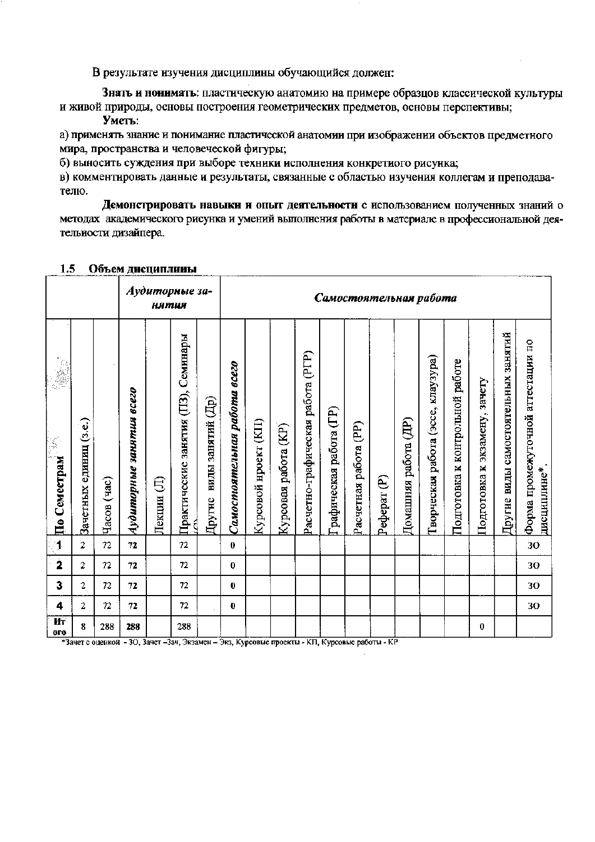В результате изучения дисциплины обучающийся должен:

Знать и понимать: пластическую анатомию на примере образцов классической культуры и живой природы, основы построения геометрических предметов, основы перспективы; Уметь:

а) применять знание и понимание пластической анатомии при изображении объектов предметного мира, пространства и человеческой фигуры;

б) выносить суждения при выборе техники исполнения конкретиого рисунка;

в) комментировать данные и результаты, связанные с областью изучения коллегам и преподавателю.

Демонстрировать навыки и опыт деятельности с использованием полученных знаний о методах академического рисунка и умений выполнения работы в материале в профессиональной деятельиости дизайпера.

|                         |                        |             |                          | <b>НЯ МИЯ</b> | Аудиторные за-                      |                             |                              |                       |                      |                                   |                        |                       | Самостоятельная работа |                      |                                    |                                    |                                     |                                     |                                                   |
|-------------------------|------------------------|-------------|--------------------------|---------------|-------------------------------------|-----------------------------|------------------------------|-----------------------|----------------------|-----------------------------------|------------------------|-----------------------|------------------------|----------------------|------------------------------------|------------------------------------|-------------------------------------|-------------------------------------|---------------------------------------------------|
| По Семестрам            | Зачетных единиц (з.е.) | Часов (час) | Аудиторные занятия всего | €<br>Лекции   | Практические занятия (ПЗ), Семинары | виды занятий (Др)<br>Другие | Самостоятельная работа всего | Курсовой нроект (KII) | Курсовая работа (KP) | Расчетно-графическая работа (РГР) | рафическая работа (ГР) | Расчетная работа (PP) | Реферат $(P)$          | Домашняя работа (ДР) | Гворческая работа (эссе, клаузура) | работе<br>Подготовка к контрольной | зачету<br>экзамену,<br>Подготовка к | Другие виды самостоятельных занятий | Форма промежуточной аттестации по<br>дисциплине*. |
| $\mathfrak{g}$          | $\boldsymbol{2}$       | 72          | 72                       |               | 72                                  |                             | $\pmb{0}$                    |                       |                      |                                   |                        |                       |                        |                      |                                    |                                    |                                     |                                     | 30                                                |
| $\dot{2}$               | 2                      | 72          | 72                       |               | 72                                  |                             | 0                            |                       |                      |                                   |                        |                       |                        |                      |                                    |                                    |                                     |                                     | 30                                                |
| 3                       | 2                      | 72          | 72                       |               | 72                                  |                             | $\mathbf 0$                  |                       |                      |                                   |                        |                       |                        |                      |                                    |                                    |                                     |                                     | 30                                                |
| 4                       | 2                      | 72          | 72                       |               | 72                                  |                             | 0                            |                       |                      |                                   |                        |                       |                        |                      |                                    |                                    |                                     |                                     | 30                                                |
| <b>Hr</b><br><b>OFO</b> | 8                      | 288         | 288                      |               | 288                                 |                             |                              |                       |                      |                                   |                        |                       |                        |                      |                                    |                                    | 0                                   |                                     |                                                   |

#### 1.5 Объем дисциплины

\*Зачет с оценкой - 30, Зачет - Зач, Экзамен - Экз, Курсовые проекты - КП, Курсовые работы - КР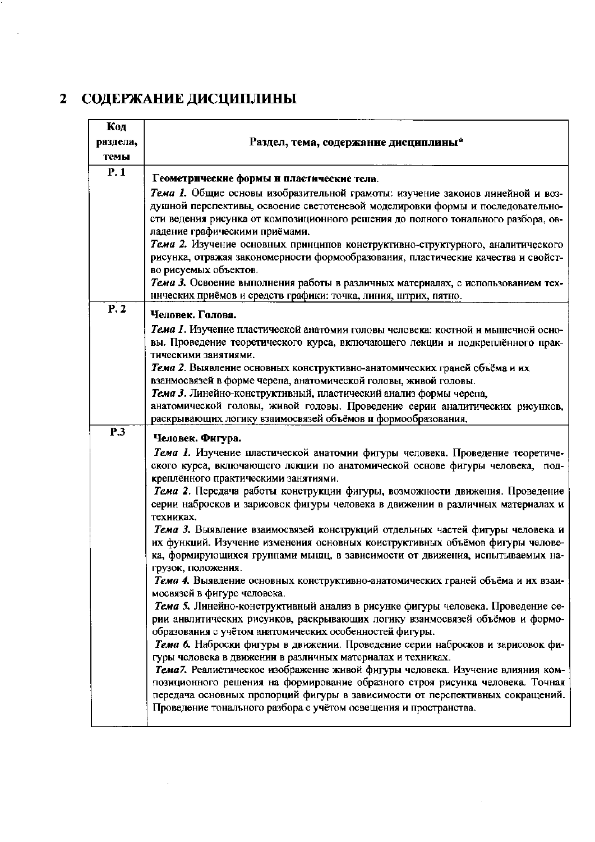# 2 СОДЕРЖАНИЕ ДИСЦИПЛИНЫ

 $\bar{\beta}$ 

| Код      |                                                                                                                                               |
|----------|-----------------------------------------------------------------------------------------------------------------------------------------------|
| раздела, | Раздел, тема, содержание дисциплины*                                                                                                          |
| темы     |                                                                                                                                               |
| P.1      |                                                                                                                                               |
|          | Геометрические формы и пластические тела.                                                                                                     |
|          | Тема 1. Общие основы изобразительной грамоты: изучение закоиов линейной и воз-                                                                |
|          | душной перспективы, освоение светотеневой моделировки формы и последовательно-                                                                |
|          | сти ведения рисунка от композиционного решения до полного тонального разбора, ов-                                                             |
|          | ладение графическими приёмами.                                                                                                                |
|          | Тема 2. Изучение основных принципов конструктивно-структурного, аналитического                                                                |
|          | рисунка, отражая закономерности формообразования, пластические качества и свойст-                                                             |
|          | во рисуемых объектов.                                                                                                                         |
|          | Тема 3. Освоение выполнения работы в различных материалах, с использованием тех-                                                              |
|          | нических приёмов и средств графики: точка, линия, штрих, пятно.                                                                               |
| P.2      | Человек. Голова.                                                                                                                              |
|          | Тема 1. Изучение пластической анатомии головы человека: костной и мышечной осно-                                                              |
|          | вы. Проведение теоретического курса, включающего лекции и подкреплённого прак-                                                                |
|          | тическими занятиями.                                                                                                                          |
|          | Тема 2. Выявление основных конструктивно-анатомических граней объёма и их                                                                     |
|          | взанмосвязей в форме черепа, анатомической головы, живой головы.                                                                              |
|          | Тема 3. Линейно-конструктивный, пластический анализ формы черепа,                                                                             |
|          | анатомической головы, живой головы. Проведение серии аналитических рисунков,                                                                  |
|          | раскрывающих логику взаимосвязей объёмов и формообразования.                                                                                  |
| P.3      | Человек. Фигура.                                                                                                                              |
|          | Тема 1. Изучение пластической анатомии фигуры человека. Проведение теоретиче-                                                                 |
|          | ского курса, включающего лекции по анатомической основе фигуры человека, под-                                                                 |
|          | креплённого практическими занятиями.                                                                                                          |
|          | Тема 2. Передача работы конструкции фигуры, возможности движения. Проведение                                                                  |
|          | серии набросков и зарисовок фигуры человека в движении в различных материалах и                                                               |
|          | техниках.                                                                                                                                     |
|          | Тема 3. Выявление взаимосвязей конструкций отдельных частей фигуры человека и                                                                 |
|          | их функций. Изучение изменения основных конструктивных объёмов фигуры челове-                                                                 |
|          | ка, формирующихся группами мышц, в зависимости от движения, испытываемых на-                                                                  |
|          | грузок, положения.                                                                                                                            |
|          | Тема 4. Выявление основных конструктивно-анатомических граней объёма и их взаи-                                                               |
|          | мосвязей в фигуре человека.                                                                                                                   |
|          | Тема 5. Линейно-конструктивный анализ в рисунке фигуры человека. Проведение се-                                                               |
|          | рии анвлитических рисунков, раскрывающих логику взаимосвязей объёмов и формо-                                                                 |
|          | образования с учётом анатомических особенностей фигуры.                                                                                       |
|          | Тема 6. Наброски фигуры в движении. Проведение серии набросков и зарисовок фи-                                                                |
|          | гуры человека в движении в различных материалах и техниках.<br>Тема7. Реалистическое изображение живой фигуры человека. Изучение влияния ком- |
|          | позиционного решения на формирование образного строя рисунка человека. Точная                                                                 |
|          | передача основных пропорций фигуры в зависимости от перспективных сокращений.                                                                 |
|          | Проведение тонального разбора с учётом освещения и пространства.                                                                              |
|          |                                                                                                                                               |

 $\sim$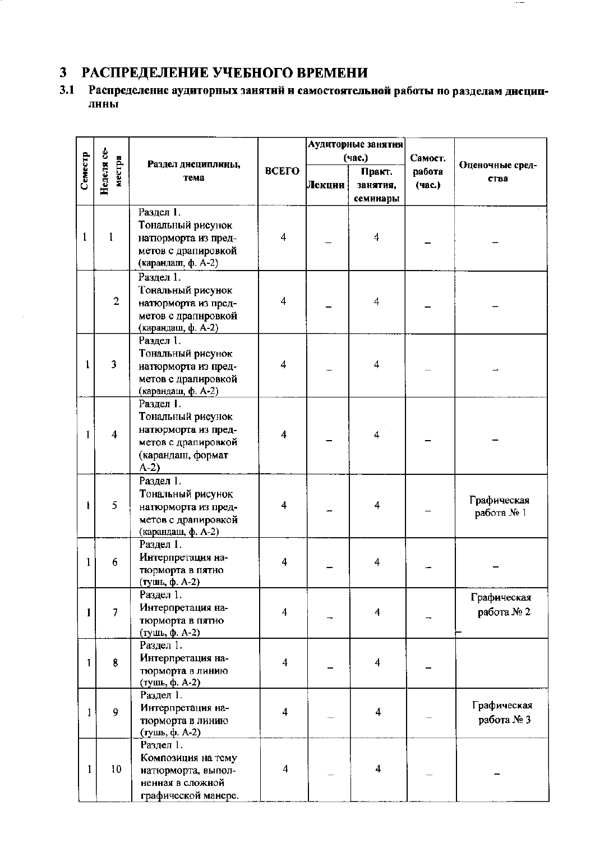# 3 РАСПРЕДЕЛЕНИЕ УЧЕБНОГО ВРЕМЕНИ

#### $3.1$ Распределение аудиторных заиятий и самостоятельной работы по разделам дисциплины

 $\cdots$ 

|         |                         |                                                                                                             |                         |        | Аудиторные занятия             |                  |                           |  |
|---------|-------------------------|-------------------------------------------------------------------------------------------------------------|-------------------------|--------|--------------------------------|------------------|---------------------------|--|
|         |                         |                                                                                                             |                         |        | (час.)                         | Самост.          |                           |  |
| Семестр | Неделя се-<br>местра    | Раздел дисциплины,<br>тема                                                                                  | ВСЕГО                   | Лекции | Практ.<br>занятия,<br>семинары | работа<br>(час.) | Оценочные сред-<br>ства   |  |
| 1       | 1                       | Раздел 1.<br>Тональный рисунок<br>натюрморта из пред-<br>метов с драпировкой<br>(карандаш, ф. А-2)          | 4                       |        | 4                              |                  |                           |  |
|         | $\overline{2}$          | Раздел 1.<br>Тональный рисунок<br>натюрморта из пред-<br>метов с драпнровкой<br>(карандаш, ф. А-2)          | 4                       |        | 4                              |                  |                           |  |
|         | 3                       | Раздел 1.<br>Тональный рисунок<br>иатюрморта из пред-<br>метов с драпировкой<br>(карандаш, ф. А-2)          | $\overline{4}$          |        | 4                              |                  |                           |  |
|         | $\overline{\mathbf{4}}$ | Раздел 1.<br>Тональный рисунок<br>натюрморта из пред-<br>метов с драпировкой<br>(карандаш, формат<br>$A-2)$ | 4                       |        | 4                              |                  |                           |  |
| Ĩ.      | 5                       | Раздел 1.<br>Тональный рисунок<br>натюрморта из пред-<br>метов с драпировкой<br>(карандаш, ф. А-2)          | 4                       |        | 4                              |                  | Графическая<br>работа № 1 |  |
| 1       | 6                       | Раздел 1.<br>Интерпретация на-<br>тюрморта в пятно<br>(тушь, ф. А-2)                                        | $\overline{\mathbf{4}}$ |        | $\overline{\mathbf{4}}$        |                  |                           |  |
|         | $\overline{7}$          | Раздел 1.<br>Интерпретация на-<br>тюрморта в пятно<br>(тушь, ф. А-2)                                        | $\overline{4}$          |        | $\overline{4}$                 |                  | Графическая<br>работа № 2 |  |
| 1       | 8                       | Раздел 1.<br>Интерпретация на-<br>тюрморта в линию<br>(тушь, ф. А-2)                                        | $\overline{\mathbf{4}}$ |        | $\overline{4}$                 |                  |                           |  |
| 1       | 9                       | Раздел 1.<br>Интерпретация на-<br>тюрморта в линию<br>(тушь, ф. А-2)                                        | $\overline{4}$          |        | 4                              |                  | Графическая<br>работа № 3 |  |
| 1       | 10                      | Раздел 1.<br>Композиция на тему<br>натюрморта, выпол-<br>ненная в сложной<br>графической манере.            | $\overline{4}$          |        | 4                              |                  |                           |  |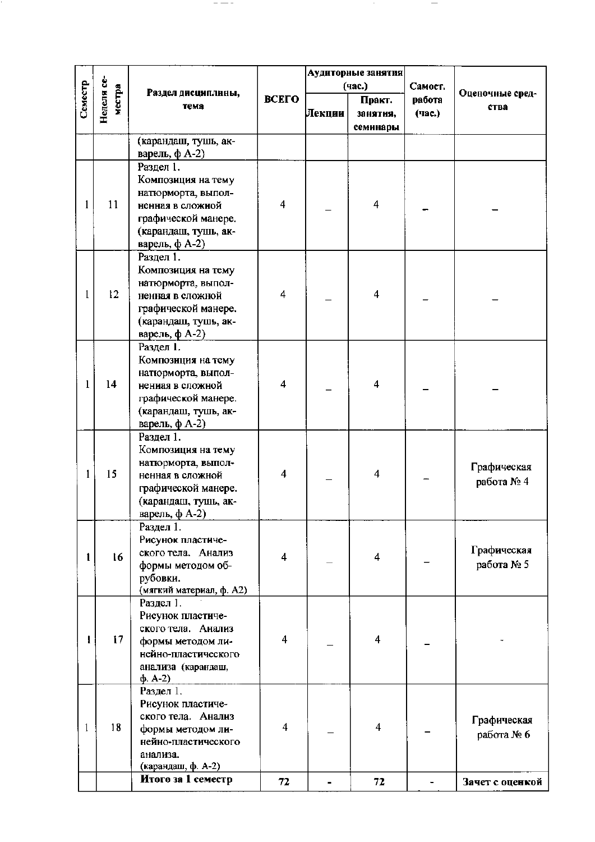|         |                      |                                          |                |        | Аудиторные занятия             |                  |                         |
|---------|----------------------|------------------------------------------|----------------|--------|--------------------------------|------------------|-------------------------|
|         |                      |                                          |                |        | (час.)                         | Самост.          |                         |
| Семестр | Неделя се-<br>местра | Раздел дисциплины,<br>тема               | ВСЕГО          | Лекции | Практ.<br>занятия,<br>семинары | работа<br>(час.) | Оценочные сред-<br>ства |
|         |                      | (карандаш, тушь, ак-                     |                |        |                                |                  |                         |
|         |                      | варель, ф А-2)                           |                |        |                                |                  |                         |
|         |                      | Раздел 1.                                |                |        |                                |                  |                         |
|         |                      | Композиция на тему                       |                |        |                                |                  |                         |
|         | 11                   | натюрморта, выпол-                       | 4              |        | 4                              |                  |                         |
|         |                      | ненная в сложной<br>графической манере.  |                |        |                                |                  |                         |
|         |                      | (карандаш, тушь, ак-                     |                |        |                                |                  |                         |
|         |                      | варель, $\phi$ А-2)                      |                |        |                                |                  |                         |
|         |                      | Раздел 1.                                |                |        |                                |                  |                         |
|         |                      | Композиция на тему                       |                |        |                                |                  |                         |
|         |                      | натюрморта, выпол-                       |                |        |                                |                  |                         |
|         | 12                   | ненная в сложной                         | 4              |        | $\overline{\mathbf{4}}$        |                  |                         |
|         |                      | графической манере.                      |                |        |                                |                  |                         |
|         |                      | (карандаш, тушь, ак-                     |                |        |                                |                  |                         |
|         |                      | варель, ф А-2)                           |                |        |                                |                  |                         |
|         |                      | Раздел 1.                                |                |        |                                |                  |                         |
|         |                      | Композиция на тему                       |                |        |                                |                  |                         |
| 1       | 14                   | натюрморта, выпол-<br>ненная в сложной   | 4              |        | $\overline{\mathbf{4}}$        |                  |                         |
|         |                      | графической манере.                      |                |        |                                |                  |                         |
|         |                      | (карандаш, тушь, ак-                     |                |        |                                |                  |                         |
|         |                      | варель, ф А-2)                           |                |        |                                |                  |                         |
|         |                      | Раздел 1.                                |                |        |                                |                  |                         |
|         |                      | Композиция на тему                       |                |        |                                |                  |                         |
|         |                      | натюрморта, выпол-                       | $\overline{4}$ |        |                                |                  | Графическая             |
| 1       | 15                   | ненная в сложной                         |                |        | $\overline{\mathbf{4}}$        |                  | работа № 4              |
|         |                      | графической манере.                      |                |        |                                |                  |                         |
|         |                      | (карандаш, тушь, ак-                     |                |        |                                |                  |                         |
|         |                      | варель, ф А-2)                           |                |        |                                |                  |                         |
|         |                      | Раздел 1.<br>Рисунок пластиче-           |                |        |                                |                  |                         |
|         |                      | ского тела. Анализ                       |                |        |                                |                  | Графическая             |
|         | 16                   | формы методом об-                        | 4              |        | $\overline{4}$                 |                  | работа № 5              |
|         |                      | рубовки.                                 |                |        |                                |                  |                         |
|         |                      | (мягкий материал, ф. А2)                 |                |        |                                |                  |                         |
|         |                      | Раздел 1.                                |                |        |                                |                  |                         |
|         |                      | Рисунок пластиче-                        |                |        |                                |                  |                         |
|         |                      | ского тела. Анализ                       | 4              |        |                                |                  |                         |
| Ł       | 17                   | формы методом ли-                        |                |        | 4                              |                  |                         |
|         |                      | нейно-пластического                      |                |        |                                |                  |                         |
|         |                      | анализа (карандаш,<br>$\phi$ . A-2)      |                |        |                                |                  |                         |
|         |                      | Раздел 1.                                |                |        |                                |                  |                         |
|         |                      | Рисунок пластиче-                        |                |        |                                |                  |                         |
|         |                      | ского тела. Анализ                       |                |        |                                |                  | Графическая             |
| 1       | 18                   | формы методом ли-                        | $\overline{4}$ |        | $\overline{\mathbf{4}}$        |                  | работа № 6              |
|         |                      | нейно-пластического                      |                |        |                                |                  |                         |
|         |                      | анализа.                                 |                |        |                                |                  |                         |
|         |                      | (карандаш, ф. А-2)<br>Итого за 1 семестр |                |        |                                |                  |                         |
|         |                      |                                          | 72             |        | 72                             |                  | Зачет с оценкой         |

 $\sim$ 

 $\overline{\phantom{m}}$ 

 $- - - \cdot$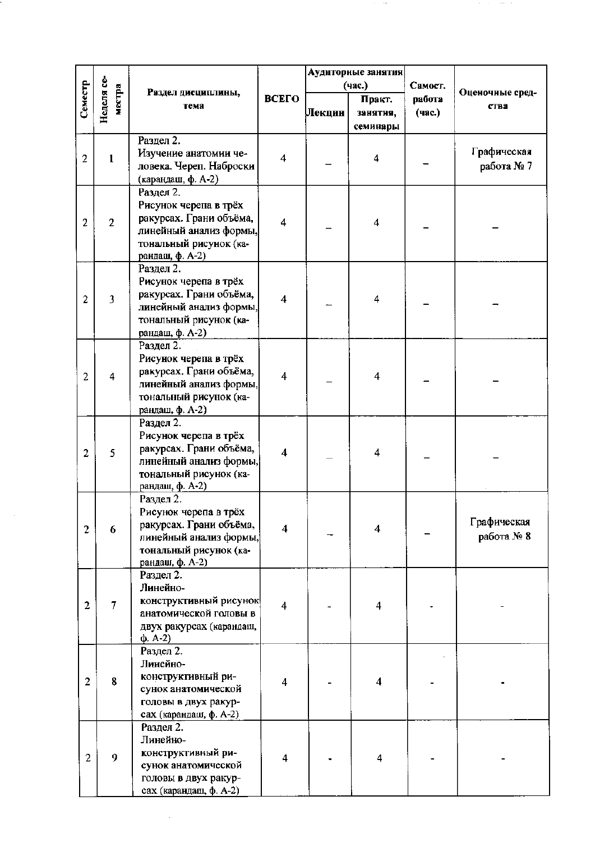|                |                         |                                                    | Аудиторные занятия      |        |                         |         |                 |
|----------------|-------------------------|----------------------------------------------------|-------------------------|--------|-------------------------|---------|-----------------|
|                |                         |                                                    |                         |        | (час.)                  | Самост. | Оценочные сред- |
| Семестр        | Неделя се-<br>местра    | Раздел дисциплины,<br>тема                         | ВСЕГО                   |        | Практ.                  | работа  | ства            |
|                |                         |                                                    |                         | Лекции | занятня,                | (час.)  |                 |
|                |                         |                                                    |                         |        | семинары                |         |                 |
|                |                         | Раздел 2.<br>Изучение анатомии че-                 |                         |        |                         |         | Графическая     |
| $\overline{2}$ | $\mathbf{1}$            | ловека. Череп. Наброски                            | $\overline{\mathbf{4}}$ |        | $\overline{\mathbf{4}}$ |         | работа № 7      |
|                |                         | (карандаш, ф. А-2)                                 |                         |        |                         |         |                 |
|                |                         | Раздел 2.                                          |                         |        |                         |         |                 |
|                |                         | Рисунок черепа в трёх                              |                         |        |                         |         |                 |
| $\overline{2}$ | $\overline{2}$          | ракурсах. Грани объёма,                            | 4                       |        | $\overline{\bf{4}}$     |         |                 |
|                |                         | линейный анализ формы,                             |                         |        |                         |         |                 |
|                |                         | тональный рисунок (ка-<br>рандаш, ф. А-2)          |                         |        |                         |         |                 |
|                |                         | Раздел 2.                                          |                         |        |                         |         |                 |
|                |                         | Рисунок черепа в трёх                              |                         |        |                         |         |                 |
| $\overline{2}$ | $\overline{\mathbf{3}}$ | ракурсах. Грани объёма,                            | 4                       |        | 4                       |         |                 |
|                |                         | линейный анализ формы,                             |                         |        |                         |         |                 |
|                |                         | тональный рисунок (ка-                             |                         |        |                         |         |                 |
|                |                         | рандаш, ф. А-2)                                    |                         |        |                         |         |                 |
|                |                         | Раздел 2.<br>Рисунок черепа в трёх                 |                         |        |                         |         |                 |
|                |                         | ракурсах. Грани объёма,                            |                         |        |                         |         |                 |
| $\overline{2}$ | $\overline{\mathbf{4}}$ | линейный анализ формы,                             | $\overline{4}$          |        | $\overline{\mathbf{4}}$ |         |                 |
|                |                         | тональный рисунок (ка-                             |                         |        |                         |         |                 |
|                |                         | рандаш, ф. А-2)                                    |                         |        |                         |         |                 |
|                |                         | Раздел 2.                                          |                         |        |                         |         |                 |
|                |                         | Рисунок черепа в трёх<br>ракурсах. Грани объёма,   |                         |        |                         |         |                 |
| $\overline{2}$ | 5                       | линейный анализ формы,                             | 4                       |        | 4                       |         |                 |
|                |                         | тональный рисунок (ка-                             |                         |        |                         |         |                 |
|                |                         | рандаш, ф. А-2)                                    |                         |        |                         |         |                 |
|                |                         | Раздел 2.                                          |                         |        |                         |         |                 |
|                |                         | Рисунок черепа в трёх                              |                         |        |                         |         | Графическая     |
| $\overline{2}$ | 6                       | ракурсах. Грани объёма,<br>линейный анализ формы,  | 4                       |        | 4                       |         | работа № 8      |
|                |                         | тональный рисунок (ка-                             |                         |        |                         |         |                 |
|                |                         | рандаш, ф. А-2)                                    |                         |        |                         |         |                 |
|                |                         | Раздел 2.                                          |                         |        |                         |         |                 |
|                |                         | Линейно-                                           |                         |        |                         |         |                 |
| $\overline{2}$ | $\overline{\tau}$       | конструктивный рисунок                             | $\overline{4}$          |        | 4                       |         |                 |
|                |                         | анатомической головы в<br>двух ракурсах (карандаш, |                         |        |                         |         |                 |
|                |                         | $\phi$ . A-2)                                      |                         |        |                         |         |                 |
|                |                         | Раздел 2.                                          |                         |        |                         |         |                 |
|                |                         | Линейно-                                           |                         |        |                         |         |                 |
| $\overline{2}$ | 8                       | конструктивный ри-                                 | $\overline{4}$          |        | 4                       |         |                 |
|                |                         | сунок анатомической                                |                         |        |                         |         |                 |
|                |                         | головы в двух ракур-<br>сах (карандаш, ф. А-2)     |                         |        |                         |         |                 |
|                |                         | Раздел 2.                                          |                         |        |                         |         |                 |
|                |                         | Линейно-                                           |                         |        |                         |         |                 |
| $\overline{2}$ | 9                       | конструктивный ри-                                 | $\overline{4}$          |        | 4                       |         |                 |
|                |                         | сунок анатомической                                |                         |        |                         |         |                 |
|                |                         | головы в двух ракур-<br>сах (карандаш, ф. А-2)     |                         |        |                         |         |                 |
|                |                         |                                                    |                         |        |                         |         |                 |

 $\sim$ 

 $\sim 10^6$ 

 $\sim 200$  MeV  $_{\odot}$ 

 $\mathcal{L}_{\mathcal{A}}$  , where  $\mathcal{L}_{\mathcal{A}}$  is the simple of  $\mathcal{L}_{\mathcal{A}}$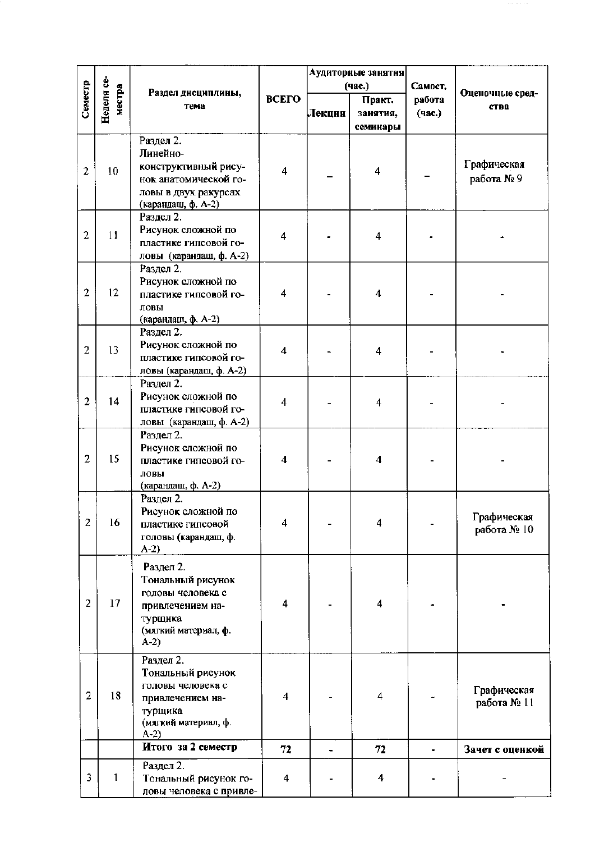|                |              |                         |                         |        | Аудиторные занятия      |         |                 |
|----------------|--------------|-------------------------|-------------------------|--------|-------------------------|---------|-----------------|
|                | Неделя се-   |                         |                         |        | (час.)                  | Самост. |                 |
| Семестр        | местра       | Раздел дисциплины,      | <b>ВСЕГО</b>            |        | Практ.                  | работа  | Оценочные сред- |
|                |              | тема                    |                         | Лекции |                         | (час.)  | ства            |
|                |              |                         |                         |        | занятия,                |         |                 |
|                |              |                         |                         |        | семинары                |         |                 |
|                |              | Раздел 2.               |                         |        |                         |         |                 |
|                |              | Линейно-                |                         |        |                         |         |                 |
| $\overline{2}$ | 10           | конструктивный рису-    | $\overline{4}$          |        | $\overline{4}$          |         | Графическая     |
|                |              | нок анатомической го-   |                         |        |                         |         | работа №9       |
|                |              | ловы в двух ракурсах    |                         |        |                         |         |                 |
|                |              | (карандаш, ф. А-2)      |                         |        |                         |         |                 |
|                |              | Раздел 2.               |                         |        |                         |         |                 |
| $\overline{2}$ | 11           | Рисунок сложной по      | 4                       |        | $\overline{\mathbf{4}}$ |         |                 |
|                |              | пластике гипсовой го-   |                         |        |                         |         |                 |
|                |              | ловы (карандаш, ф. А-2) |                         |        |                         |         |                 |
|                |              | Раздел 2.               |                         |        |                         |         |                 |
|                |              | Рисунок сложной по      |                         |        |                         |         |                 |
| $\overline{2}$ | 12           | пластике гипсовой го-   | 4                       |        | $\overline{\bf{4}}$     |         |                 |
|                |              | ловы                    |                         |        |                         |         |                 |
|                |              | (карандаш, ф. А-2)      |                         |        |                         |         |                 |
|                |              | Раздел 2.               |                         |        |                         |         |                 |
| $\overline{2}$ | 13           | Рисунок сложной по      | $\overline{\mathbf{4}}$ |        | 4                       |         |                 |
|                |              | пластике гипсовой го-   |                         |        |                         |         |                 |
|                |              | ловы (карандаш, ф. А-2) |                         |        |                         |         |                 |
|                |              | Раздел 2.               |                         |        |                         |         |                 |
| $\overline{2}$ | 14           | Рисунок сложной по      | 4                       |        | 4                       |         |                 |
|                |              | пластике гипсовой го-   |                         |        |                         |         |                 |
|                |              | ловы (карандаш, ф. А-2) |                         |        |                         |         |                 |
|                |              | Раздел 2.               |                         |        |                         |         |                 |
|                |              | Рисунок сложной по      |                         |        |                         |         |                 |
| $\overline{2}$ | 15           | пластике гипсовой го-   | $\overline{\mathbf{4}}$ |        | $\overline{\mathbf{4}}$ |         |                 |
|                |              | ловы                    |                         |        |                         |         |                 |
|                |              | (карандаш, ф. А-2)      |                         |        |                         |         |                 |
|                |              | Раздел 2.               |                         |        |                         |         |                 |
|                |              | Рисунок сложной по      |                         |        |                         |         | Графическая     |
| $\overline{2}$ | 16           | пластике гипсовой       | $\overline{4}$          |        | 4                       |         | работа № 10     |
|                |              | головы (карандаш, ф.    |                         |        |                         |         |                 |
|                |              | $A-2)$                  |                         |        |                         |         |                 |
|                |              | Раздел 2.               |                         |        |                         |         |                 |
|                |              | Тональный рисунок       |                         |        |                         |         |                 |
|                |              | головы человека с       |                         |        |                         |         |                 |
| $\overline{2}$ | 17           | привлечением на-        | $\overline{4}$          |        | $\overline{\mathbf{4}}$ |         |                 |
|                |              | турщнка                 |                         |        |                         |         |                 |
|                |              | (мягкий материал, ф.    |                         |        |                         |         |                 |
|                |              | $A-2)$                  |                         |        |                         |         |                 |
|                |              | Раздел 2.               |                         |        |                         |         |                 |
|                |              | Тональный рисунок       |                         |        |                         |         |                 |
|                |              | головы человека с       |                         |        |                         |         |                 |
| $\overline{2}$ | 18           | привлечением на-        | $\overline{\bf{4}}$     |        | 4                       |         | Графическая     |
|                |              | турщика                 |                         |        |                         |         | работа № 11     |
|                |              | (мягкий материал, ф.    |                         |        |                         |         |                 |
|                |              | $A-2)$                  |                         |        |                         |         |                 |
|                |              | Итого за 2 семестр      | 72                      |        | 72                      |         | Зачет с оценкой |
|                |              | Раздел 2.               |                         |        |                         |         |                 |
| 3              | $\mathbf{1}$ | Тональный рисунок го-   | $\overline{\mathbf{4}}$ |        | 4                       |         |                 |
|                |              | ловы человека с привле- |                         |        |                         |         |                 |

 $\sim$  1000  $\sim$  1000  $\sim$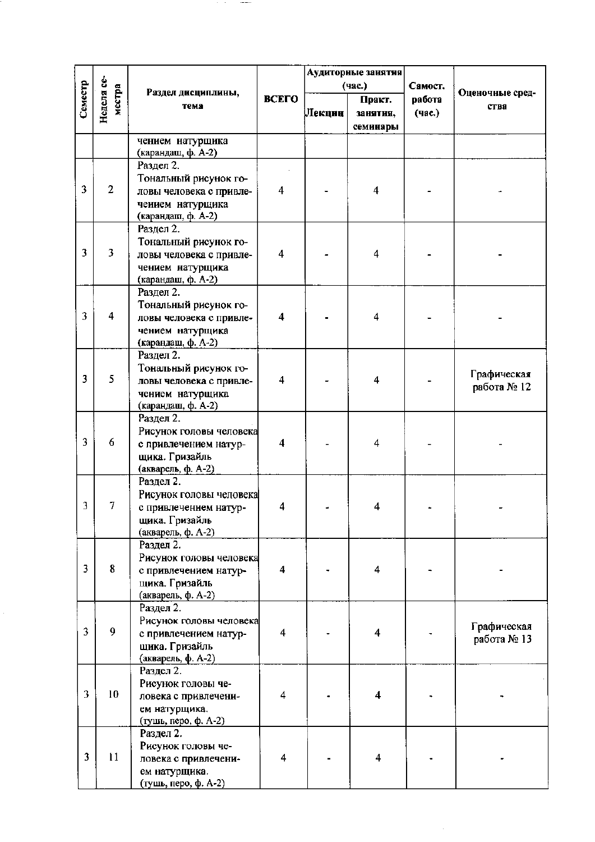|         |                      |                                                  |                         |         | Аудиторные занятия      |         |                 |
|---------|----------------------|--------------------------------------------------|-------------------------|---------|-------------------------|---------|-----------------|
|         |                      | Раздел дисциплины,                               |                         |         | (час.)                  | Самост. | Оценочные сред- |
| Cemecrp | Неделя се-<br>местра | тема                                             | ВСЕГО                   |         | Практ.                  | работа  | ства            |
|         |                      |                                                  |                         | ⊍Іекции | занятия,<br>семинары    | (час.)  |                 |
|         |                      | чением натурщика                                 |                         |         |                         |         |                 |
|         |                      | (карандаш, ф. А-2)                               |                         |         |                         |         |                 |
|         |                      | Раздел 2.                                        |                         |         |                         |         |                 |
| 3       | $\overline{2}$       | Тональный рисунок го-<br>ловы человека с привле- | $\overline{4}$          |         | $\overline{\mathbf{4}}$ |         |                 |
|         |                      | чением натурщика                                 |                         |         |                         |         |                 |
|         |                      | (карандаш, ф. А-2)                               |                         |         |                         |         |                 |
|         |                      | Раздел 2.                                        |                         |         |                         |         |                 |
|         |                      | Тональный рисунок го-                            |                         |         |                         |         |                 |
| 3       | 3                    | ловы человека с привле-                          | 4                       |         | 4                       |         |                 |
|         |                      | чением натурщика<br>(карандаш, ф. А-2)           |                         |         |                         |         |                 |
|         |                      | Раздел 2.                                        |                         |         |                         |         |                 |
|         |                      | Тональный рисунок го-                            |                         |         |                         |         |                 |
| 3       | 4                    | ловы человека с привле-                          | 4                       |         | 4                       |         |                 |
|         |                      | чением натурщика                                 |                         |         |                         |         |                 |
|         |                      | (карандаш, ф. А-2)<br>Раздел 2.                  |                         |         |                         |         |                 |
|         |                      | Тональный рисунок го-                            |                         |         |                         |         |                 |
| 3       | 5                    | ловы человека с привле-                          | 4                       |         | 4                       |         | Графическая     |
|         |                      | чением натурщика                                 |                         |         |                         |         | работа № 12     |
|         |                      | (карандаш, ф. А-2)                               |                         |         |                         |         |                 |
|         |                      | Раздел 2.                                        |                         |         |                         |         |                 |
| 3       | 6                    | Рисунок головы человека<br>с привлечением натур- | 4                       |         | 4                       |         |                 |
|         |                      | щика. Гризайль                                   |                         |         |                         |         |                 |
|         |                      | (акварель, ф. А-2)                               |                         |         |                         |         |                 |
|         |                      | Раздел 2.                                        |                         |         |                         |         |                 |
| 3       | 7                    | Рисунок головы человека                          |                         |         |                         |         |                 |
|         |                      | с привлечением натур-<br>щика. Гризайль          | 4                       |         | 4                       |         |                 |
|         |                      | (акварель, ф. А-2)                               |                         |         |                         |         |                 |
|         |                      | Раздел 2.                                        |                         |         |                         |         |                 |
|         |                      | Рисунок головы человека                          |                         |         |                         |         |                 |
| 3       | 8                    | с привлечением натур-                            | $\overline{\mathbf{4}}$ |         | 4                       |         |                 |
|         |                      | щика. Гризайль<br>(акварель, ф. А-2)             |                         |         |                         |         |                 |
|         |                      | Раздел 2.                                        |                         |         |                         |         |                 |
|         |                      | Рисунок головы человека                          |                         |         |                         |         | Графическая     |
| 3       | 9                    | с привлечением натур-                            | 4                       |         | 4                       |         | работа № 13     |
|         |                      | щика. Гризайль                                   |                         |         |                         |         |                 |
|         |                      | (акварель, ф. А-2)<br>Раздел 2.                  |                         |         |                         |         |                 |
|         |                      | Рисунок головы че-                               |                         |         |                         |         |                 |
| 3       | 10                   | ловека с привлечени-                             | $\overline{4}$          |         | $\overline{\mathbf{4}}$ |         |                 |
|         |                      | ем натурщика.                                    |                         |         |                         |         |                 |
|         |                      | (тушь, перо, ф. А-2)<br>Раздел 2.                |                         |         |                         |         |                 |
|         |                      | Рисунок головы че-                               |                         |         | 4                       |         |                 |
| 3       | 11                   | ловека с привлечени-                             | 4                       |         |                         |         |                 |
|         |                      | ем натурщика.                                    |                         |         |                         |         |                 |
|         |                      | (тушь, перо, ф. А-2)                             |                         |         |                         |         |                 |

 $\sim 10^{-1}$ 

 $\hat{\boldsymbol{\epsilon}}$ 

 $\mathcal{L}^{\mathcal{A}}$  and  $\mathcal{L}^{\mathcal{A}}$  are  $\mathcal{L}^{\mathcal{A}}$  . The constraints of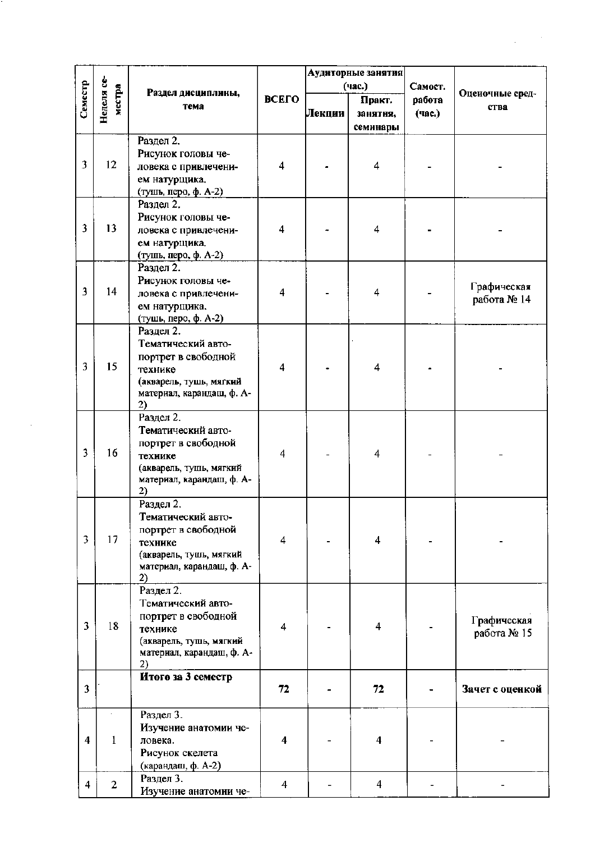|                         |                      |                           |                         |        | Аудиторные занятия      |         |                 |
|-------------------------|----------------------|---------------------------|-------------------------|--------|-------------------------|---------|-----------------|
|                         |                      |                           |                         |        | (час.)                  | Самост. |                 |
| Семестр                 | Неделя се-<br>местра | Раздел дисциплины,        | ВСЕГО                   |        | Практ.                  | работа  | Оценочные сред- |
|                         |                      | тема                      |                         | Лекции |                         | (час.)  | ства            |
|                         |                      |                           |                         |        | занятня,                |         |                 |
|                         |                      |                           |                         |        | семинары                |         |                 |
|                         |                      | Раздел 2.                 |                         |        |                         |         |                 |
|                         |                      | Рисунок головы че-        |                         |        |                         |         |                 |
| 3                       | 12                   | ловека с привлечени-      | $\overline{4}$          |        | 4                       |         |                 |
|                         |                      | ем натурщика.             |                         |        |                         |         |                 |
|                         |                      |                           |                         |        |                         |         |                 |
|                         |                      | (тушь, перо, ф. А-2)      |                         |        |                         |         |                 |
|                         |                      | Раздел 2.                 |                         |        |                         |         |                 |
|                         |                      | Рисунок головы че-        |                         |        | 4                       |         |                 |
| 3                       | 13                   | ловека с привлечени-      | 4                       |        |                         |         |                 |
|                         |                      | ем натурщика.             |                         |        |                         |         |                 |
|                         |                      | (тушь, перо, ф. А-2)      |                         |        |                         |         |                 |
|                         |                      | Раздел 2.                 |                         |        |                         |         |                 |
|                         |                      | Рисунок головы че-        |                         |        |                         |         |                 |
| 3                       | 14                   | ловека с привлечени-      | 4                       |        | $\overline{\mathbf{4}}$ |         | Графическая     |
|                         |                      |                           |                         |        |                         |         | работа № 14     |
|                         |                      | ем натурщика.             |                         |        |                         |         |                 |
|                         |                      | (тушь, перо, ф. А-2)      |                         |        |                         |         |                 |
|                         |                      | Раздел 2.                 |                         |        |                         |         |                 |
|                         |                      | Тематический авто-        |                         |        |                         |         |                 |
|                         |                      | портрет в свободной       |                         |        |                         |         |                 |
| 3                       | 15                   | технике                   | 4                       |        | 4                       |         |                 |
|                         |                      | (акварель, тушь, мягкий   |                         |        |                         |         |                 |
|                         |                      | материал, карандаш, ф. А- |                         |        |                         |         |                 |
|                         |                      | 2)                        |                         |        |                         |         |                 |
|                         |                      | Раздел 2.                 |                         |        |                         |         |                 |
|                         |                      | Тематический авто-        |                         |        |                         |         |                 |
|                         |                      |                           |                         |        |                         |         |                 |
| 3                       | 16                   | портрет в свободной       | $\overline{\mathbf{4}}$ |        | $\overline{4}$          |         |                 |
|                         |                      | технике                   |                         |        |                         |         |                 |
|                         |                      | (акварель, тушь, мягкий   |                         |        |                         |         |                 |
|                         |                      | материал, карандаш, ф. А- |                         |        |                         |         |                 |
|                         |                      | 2)                        |                         |        |                         |         |                 |
|                         |                      | Раздел 2.                 |                         |        |                         |         |                 |
|                         |                      | Тематический авто-        |                         |        |                         |         |                 |
|                         |                      | портрет в свободной       |                         |        |                         |         |                 |
| 3                       | 17                   | технике                   | $\overline{4}$          |        | 4                       |         |                 |
|                         |                      | (акварель, тушь, мягкий   |                         |        |                         |         |                 |
|                         |                      | материал, карандаш, ф. А- |                         |        |                         |         |                 |
|                         |                      | 2)                        |                         |        |                         |         |                 |
|                         |                      | Раздел 2.                 |                         |        |                         |         |                 |
|                         |                      | Тематический авто-        |                         |        |                         |         |                 |
|                         |                      | портрет в свободной       |                         |        |                         |         |                 |
| 3                       | 18                   | технике                   | $\overline{4}$          |        | 4                       |         | Графическая     |
|                         |                      |                           |                         |        |                         |         | работа № 15     |
|                         |                      | (акварель, тушь, мягкий   |                         |        |                         |         |                 |
|                         |                      | материал, карандаш, ф. А- |                         |        |                         |         |                 |
|                         |                      | 2)                        |                         |        |                         |         |                 |
|                         |                      | Итого за 3 семестр        |                         |        |                         |         |                 |
| 3                       |                      |                           | 72                      |        | 72                      |         | Зачет с оценкой |
|                         |                      |                           |                         |        |                         |         |                 |
|                         |                      | Раздел 3.                 |                         |        |                         |         |                 |
|                         |                      | Изучение анатомии че-     |                         |        |                         |         |                 |
| $\overline{\mathbf{4}}$ | 1                    | ловека.                   | 4                       |        | 4                       |         |                 |
|                         |                      | Рисунок скелета           |                         |        |                         |         |                 |
|                         |                      | (карандаш, ф. А-2)        |                         |        |                         |         |                 |
|                         |                      | Раздел 3.                 |                         |        |                         |         |                 |
| 4                       | $\overline{2}$       | Изучение анатомии че-     | $\overline{4}$          |        | $\overline{4}$          |         |                 |

r. ÷

 $\mathcal{A}^{\text{out}}_{\text{out}}$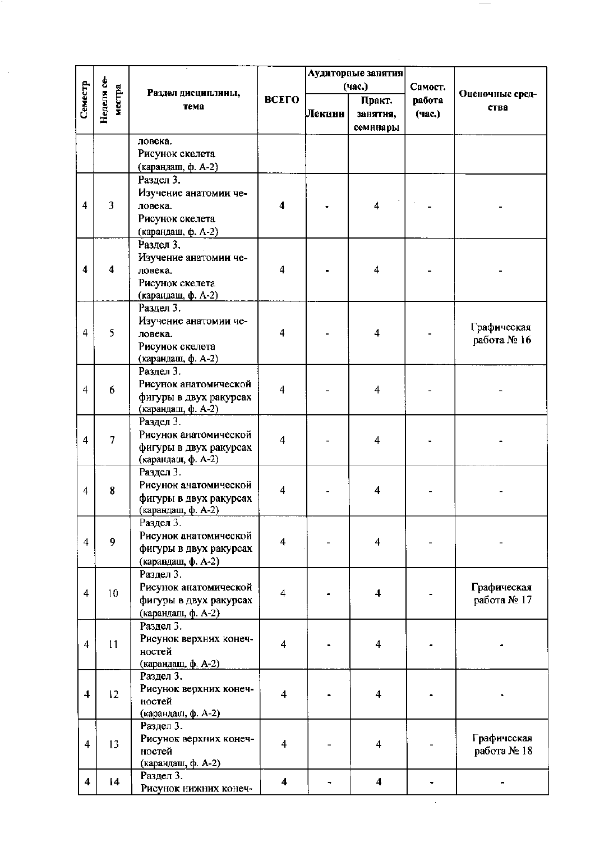|                         |                      |                                              |                         |        | Аудиторные занятия      |                   |                            |
|-------------------------|----------------------|----------------------------------------------|-------------------------|--------|-------------------------|-------------------|----------------------------|
| Семестр                 | Неделя се-<br>местра | Раздел дисциплины,                           | <b>ВСЕГО</b>            |        | (час.)<br>Практ.        | Самост.<br>работа | Оценочные сред-            |
|                         |                      | тема                                         |                         | Лекции | занятня,                | (час.)            | ства                       |
|                         |                      |                                              |                         |        | семинары                |                   |                            |
|                         |                      | ловека.                                      |                         |        |                         |                   |                            |
|                         |                      | Рисунок скелета                              |                         |        |                         |                   |                            |
|                         |                      | (карандаш, ф. А-2)                           |                         |        |                         |                   |                            |
|                         |                      | Раздел 3.                                    |                         |        |                         |                   |                            |
|                         |                      | Изучение анатомии че-                        |                         |        |                         |                   |                            |
| 4                       | $\overline{3}$       | ловека.                                      | $\overline{\mathbf{4}}$ |        | 4                       |                   |                            |
|                         |                      | Рисунок скелета<br>(карандаш, ф. А-2)        |                         |        |                         |                   |                            |
|                         |                      | Раздел 3.                                    |                         |        |                         |                   |                            |
|                         |                      | Изучение анатомии че-                        |                         |        |                         |                   |                            |
| 4                       | 4                    | ловека.                                      | 4                       |        | 4                       |                   |                            |
|                         |                      | Рисунок скелета                              |                         |        |                         |                   |                            |
|                         |                      | (карандаш, ф. А-2)                           |                         |        |                         |                   |                            |
|                         |                      | Раздел 3.                                    |                         |        |                         |                   |                            |
| 4                       | 5                    | Изучение анатомии че-<br>ловека.             | 4                       |        | $\overline{\bf{4}}$     |                   | Графическая                |
|                         |                      | Рисунок скелета                              |                         |        |                         |                   | работа № 16                |
|                         |                      | (карандаш, ф. А-2)                           |                         |        |                         |                   |                            |
|                         |                      | Раздел 3.                                    |                         |        |                         |                   |                            |
| 4                       | 6                    | Рисунок анатомической                        | 4                       |        | 4                       |                   |                            |
|                         |                      | фигуры в двух ракурсах                       |                         |        |                         |                   |                            |
|                         |                      | (карандаш, ф. А-2)<br>Раздел 3.              |                         |        |                         |                   |                            |
|                         |                      | Рисунок анатомической                        |                         |        |                         |                   |                            |
| $\overline{4}$          | $\overline{7}$       | фигуры в двух ракурсах                       | $\overline{4}$          |        | 4                       |                   |                            |
|                         |                      | (карандаш, ф. А-2)                           |                         |        |                         |                   |                            |
|                         |                      | Раздел 3.                                    |                         |        |                         |                   |                            |
| 4                       | 8                    | Рисунок анатомической                        | 4                       |        | $\overline{\mathbf{4}}$ |                   |                            |
|                         |                      | фигуры в двух ракурсах<br>(карандаш, ф. А-2) |                         |        |                         |                   |                            |
|                         |                      | Раздел 3.                                    |                         |        |                         |                   |                            |
|                         | 9                    | Рисунок анатомической                        | $\overline{\mathbf{4}}$ |        |                         |                   |                            |
| $\overline{4}$          |                      | фигуры в двух ракурсах                       |                         |        | $\overline{\mathbf{4}}$ |                   |                            |
|                         |                      | (карандаш, ф. А-2)                           |                         |        |                         |                   |                            |
|                         |                      | Раздел 3.                                    |                         |        |                         |                   |                            |
| $\overline{4}$          | 10 <sup>10</sup>     | Рисунок анатомической                        | $\overline{4}$          |        | $\overline{\mathbf{4}}$ |                   | Графическая<br>работа № 17 |
|                         |                      | фигуры в двух ракурсах<br>(карандаш, ф. А-2) |                         |        |                         |                   |                            |
|                         |                      | Раздел 3.                                    |                         |        |                         |                   |                            |
|                         | 11                   | Рисунок верхних конеч-                       | $\overline{4}$          |        | 4                       |                   |                            |
| $\overline{4}$          |                      | ностей                                       |                         |        |                         |                   |                            |
|                         |                      | (карандаш, ф. А-2)                           |                         |        |                         |                   |                            |
|                         |                      | Раздел 3.                                    |                         |        |                         |                   |                            |
| $\overline{\mathbf{4}}$ | 12                   | Рисунок верхних конеч-<br>ностей             | $\overline{\mathbf{4}}$ |        | 4                       |                   |                            |
|                         |                      | (карандаш, ф. А-2)                           |                         |        |                         |                   |                            |
|                         |                      | Раздел 3.                                    |                         |        |                         |                   |                            |
| 4                       | 13                   | Рисунок верхних конеч-                       | $\overline{4}$          |        | $\overline{4}$          |                   | Графическая                |
|                         |                      | ностей                                       |                         |        |                         |                   | работа № 18                |
|                         |                      | (карандаш, ф. А-2)<br>Раздел 3.              |                         |        |                         |                   |                            |
| $\overline{\mathbf{4}}$ | 14                   | Рисунок нижних конеч-                        | $\overline{\mathbf{4}}$ |        | $\overline{\mathbf{4}}$ |                   |                            |
|                         |                      |                                              |                         |        |                         |                   |                            |

 $\mathcal{A}^{\text{out}}_{\text{out}}$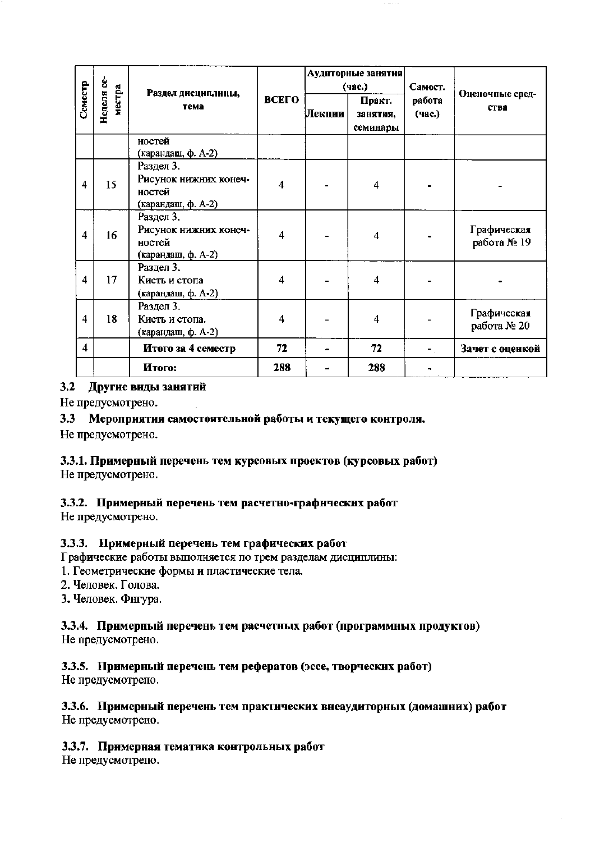|                         |                      |                                                                    |                         |        | Аудиторные занятия<br>(час.)   | Самост.          |                            |
|-------------------------|----------------------|--------------------------------------------------------------------|-------------------------|--------|--------------------------------|------------------|----------------------------|
| Семестр                 | Неделя се-<br>местра | Раздел дисциплины,<br>тема                                         | ВСЕГО                   | Лекции | Практ.<br>занятия.<br>семинары | работа<br>(час.) | Оценочные сред-<br>ства    |
|                         |                      | ностей<br>(карандаш, ф. А-2)                                       |                         |        |                                |                  |                            |
| 4                       | 15                   | Раздел 3.<br>Рисунок нижних конеч-<br>ностей<br>(карандаш, ф. А-2) | $\overline{\mathbf{4}}$ |        | 4                              |                  |                            |
| 4                       | 16                   | Раздел 3.<br>Рисунок нижних конеч-<br>ностей<br>(карандаш, ф. А-2) | $\overline{4}$          |        | $\boldsymbol{4}$               |                  | Графическая<br>работа № 19 |
| 4                       | 17                   | Раздел 3.<br>Кисть и стопа<br>(карандаш, ф. А-2)                   | $\overline{4}$          |        | $\overline{\mathbf{4}}$        |                  |                            |
| $\overline{4}$          | 18                   | Раздел 3.<br>Кисть и стопа.<br>(карандаш, ф. А-2)                  | 4                       |        | $\overline{\bf{4}}$            |                  | Графическая<br>работа № 20 |
| $\overline{\mathbf{4}}$ |                      | Итого за 4 семестр                                                 | 72                      |        | 72                             |                  | Зачет с оценкой            |
|                         |                      | Итого:                                                             | 288                     |        | 288                            |                  |                            |

## 3.2 Другие виды занятий

Не предусмотрено.

# 3.3 Мероприятия самостоятельной работы и текущего контроля.

Не предусмотрено.

# 3.3.1. Примерный перечень тем курсовых проектов (курсовых работ)

Не предусмотрено.

## 3.3.2. Примерный перечень тем расчетно-графических работ

Не предусмотрено.

## 3.3.3. Примерный перечень тем графических работ

Графические работы выполняется по трем разделам дисциплины:

1. Геометрические формы и пластические тела.

2. Человек. Голова.

3. Человек. Фнгура.

#### 3.3.4. Примерный перечень тем расчетных работ (программных продуктов) Не предусмотрено.

# 3.3.5. Примерный перечень тем рефератов (эссе, творческих работ)

Не предусмотрепо.

### 3.3.6. Примерный перечень тем практических внеаудиторных (домашних) работ Не предусмотрено.

## 3.3.7. Примерная тематика контрольных работ

Не предусмотрепо.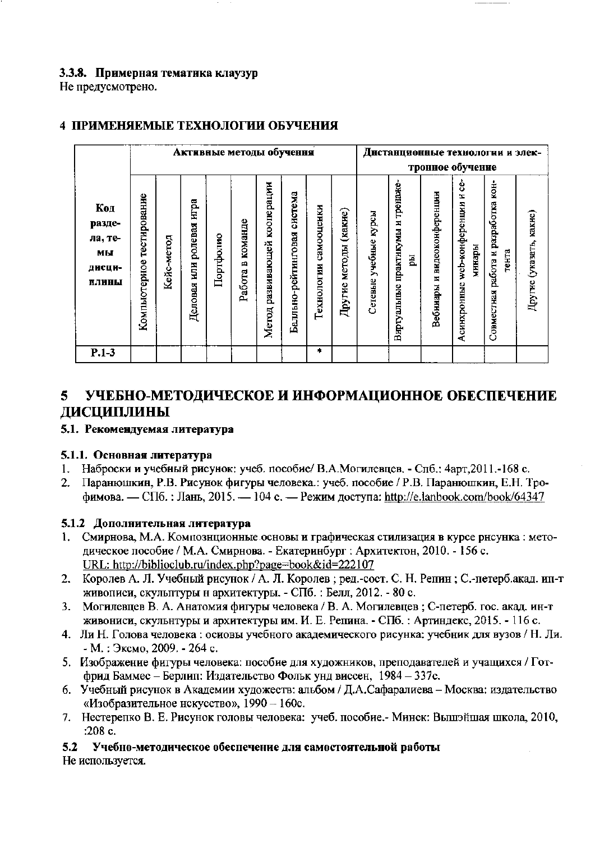# 3.3.8. Примерная тематика клаузур

Не предусмотрено.

|                                                   |                              |            | Активные методы обучення         |           |                        |                                    | Днстанционные технологии и элек- |                          |                             |                             |                                                   |                                   |                                                    |                                                 |                         |
|---------------------------------------------------|------------------------------|------------|----------------------------------|-----------|------------------------|------------------------------------|----------------------------------|--------------------------|-----------------------------|-----------------------------|---------------------------------------------------|-----------------------------------|----------------------------------------------------|-------------------------------------------------|-------------------------|
|                                                   |                              |            |                                  |           |                        |                                    |                                  |                          |                             | тронное обучение            |                                                   |                                   |                                                    |                                                 |                         |
| Код<br>разде-<br>ла, те-<br>МЫ<br>ДИСЦИ-<br>ПЛИНЫ | тестирование<br>Компьютерное | Кейс-метод | игра<br>ролевая<br>ИЩ<br>Деловая | Портфолио | команде<br>角<br>Работа | кооперации<br>развивающей<br>Meron | система<br>Балльно-рейтинговая   | самооценки<br>Гехнологии | (какие)<br>методы<br>Другие | курсы<br>учебные<br>Сетевые | тренаже-<br>E,<br>практикумы<br>E.<br>Виртуальные | видеоконференции<br>×<br>Вебниары | ģ<br>z<br>web-конференции<br>минары<br>Асинхронные | разработка кон-<br>Совместная работа и<br>тента | Другие (указать, какие) |
| $P.1-3$                                           |                              |            |                                  |           |                        |                                    |                                  | ۰                        |                             |                             |                                                   |                                   |                                                    |                                                 |                         |

# 4 ПРИМЕНЯЕМЫЕ ТЕХНОЛОГИИ ОБУЧЕНИЯ

#### УЧЕБНО-МЕТОДИЧЕСКОЕ И ИНФОРМАЦИОННОЕ ОБЕСПЕЧЕНИЕ 5. ДИСЦИПЛИНЫ

## 5.1. Рекомендуемая литература

# 5.1.1. Основная литература

- Наброски и учебный рисунок: учеб. пособие/ В.А.Могилевцев. Спб.: 4арт, 2011.-168 с.  $1.$
- Паранюшкин, Р.В. Рисунок фигуры человека.: учеб. пособие / Р.В. Паранюшкин, Е.Н. Тро- $2<sub>1</sub>$ фимова. — СПб.: Лань. 2015. — 104 с. — Режим доступа: http://e.lanbook.com/book/64347

# 5.1.2 Дополнительная литература

- Смирнова, М.А. Компознционные основы и графическая стилизация в курсе рнсунка: мето-1. дическое пособие / М.А. Смирнова. - Екатеринбург : Архитектон, 2010. - 156 с. URL: http://biblioclub.ru/index.php?page=book&id=222107
- 2. Королев А. Л. Учебный рисунок / А. Л. Королев; ред.-сост. С. Н. Репин; С.-петерб.акад. ип-т живописи, скульптуры н архитектуры. - СПб.: Белл, 2012. - 80 с.
- Могилевцев В. А. Анатомия фигуры человека / В. А. Могилевцев; С-петерб. гос. акад. ин-т  $3<sub>1</sub>$ живониси, скульнтуры и архитектуры им. И. Е. Репина. - СПб. : Артиндекс, 2015. - 116 с.
- 4. Ли Н. Голова человека: основы учебного академического рисунка: учебник для вузов / Н. Ли. - М.: Эксмо, 2009. - 264 с.
- 5. Изображение фигуры человека: пособие для художников, преподавателей и учащихся / Готфрид Баммес - Берлип: Издательство Фольк унд виссен, 1984 - 337с.
- 6. Учебный рисунок в Академии художеств: альбом / Д.А.Сафаралиева Москва: издательство «Изобразительное нскусство», 1990 - 160с.
- 7. Нестерепко В. Е. Рисунок головы человека: учеб. пособие.- Минск: Вышэйшая школа, 2010, :208 $c$ .

 $5.2$ Учебно-методическое обеспечение для самостоятельной работы Не используется.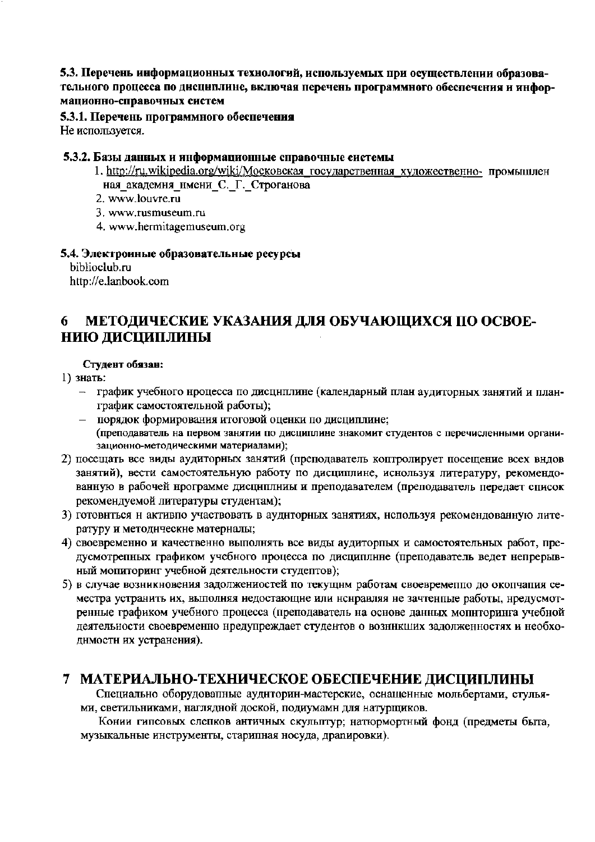### 5.3. Перечень информационных технологий, используемых при осуществлении образовательного процесса по дисциплине, включая перечень программного обеспечения и информационно-справочных систем

#### 5.3.1. Перечень программного обеспечения Не используется.

#### 5.3.2. Базы данных и информационные справочные системы

- 1. http://ru.wikipedia.org/wiki/Московская государственная художественно- промышлен ная академня нмени С. Г. Строганова
- 2. www.louvre.ru
- 3. www.rusmuseum.ru
- 4. www.hermitagemuseum.org

#### 5.4. Электронные образовательные ресурсы

biblioclub.ru http://e.lanbook.com

#### МЕТОДИЧЕСКИЕ УКАЗАНИЯ ДЛЯ ОБУЧАЮЩИХСЯ ПО ОСВОЕ-6 НИЮ ДИСЦИПЛИНЫ

### Студент обязан:

### 1) знать:

- график учебного нроцесса по дисциплине (календарный план аудиторных занятий и планграфик самостоятельной работы);
- порядок формирования итоговой оценки по дисциплине; (преподаватель на первом занятии по дисциплине знакомит студентов с перечисленными организационно-методическими материалами);
- 2) посещать все виды аудиторных занятий (преподаватель коптролирует посещение всех видов занятий), вести самостоятельную работу по дисциплине, иснользуя литературу, рекомендованную в рабочей нрограмме дисциплииы и преподавателем (преподаватель передает список рекомендуемой литературы студентам);
- 3) готовиться и активпо участвовать в аудиторных занятиях, используя рекомендованную литературу и методические материалы;
- 4) своевременно и качественно выполнять все виды аудиторпых и самостоятельных работ, предусмотрепных графиком учебного процесса по дисциплине (преподаватель ведет непрерывный мопиторинг учебной деятельности студептов);
- 5) в случае возникновения задолжениостей по текущнм работам своевременно до окончания семестра устранить их, выполняя недостающие или нснравляя не зачтенные работы, нредусмотренные графиком учебного процесса (преподаватель на основе данных мопиторинга учебной деятельности своевременно нредупреждает студентов о возникших задолженностях и необходнмостн их устранения).

# 7 МАТЕРИАЛЬНО-ТЕХНИЧЕСКОЕ ОБЕСПЕЧЕНИЕ ДИСЦИПЛИНЫ

Специально оборудовапные аудиторин-мастерские, оснащенные мольбертами, стульями, светильниками, наглядной доской, подиумами для натурщиков.

Конии гипсовых слепков античных скульптур; натюрмортный фонд (предметы быта, музыкальные инструменты, старипная носуда, дравировки).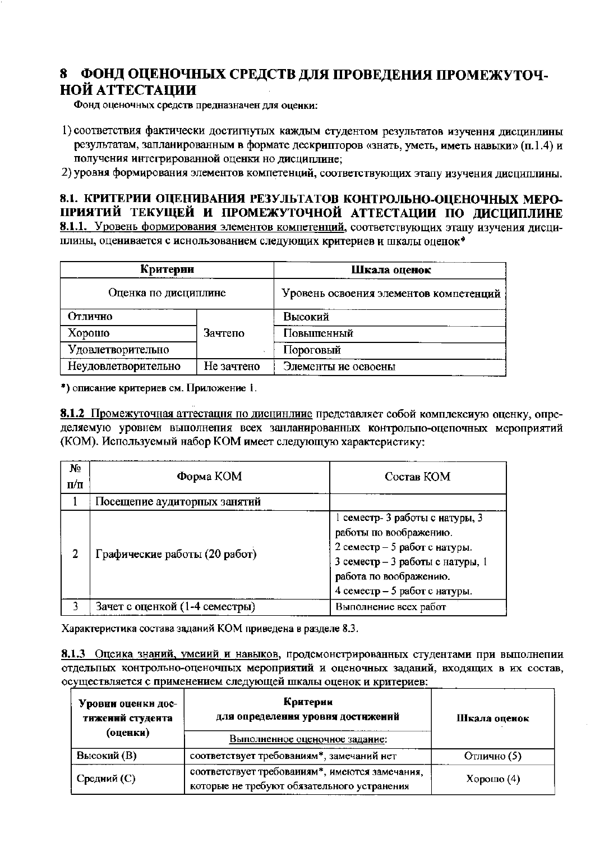# 8 ФОНД ОЦЕНОЧНЫХ СРЕДСТВ ДЛЯ ПРОВЕДЕНИЯ ПРОМЕЖУТОЧ-**НОЙ АТТЕСТАЦИИ**

Фонд оценочных средств предназначен для оценки:

1) соответствия фактически достигнутых каждым студентом результатов изучення дисцинлины результатам, запланированным в формате дескрипторов «знать, уметь, иметь навыки» (п.1.4) и получения интегрированной оценки но дисциплине:

2) уровня формирования элементов компетенций, соответствующих этапу изучения диспиплины.

8.1. КРИТЕРИИ ОЦЕНИВАНИЯ РЕЗУЛЬТАТОВ КОНТРОЛЬНО-ОЦЕНОЧНЫХ МЕРО-ПРИЯТИЙ ТЕКУЩЕЙ И ПРОМЕЖУТОЧНОЙ АТТЕСТАЦИИ ПО ЛИСЦИПЛИНЕ 8.1.1. Уровень формирования элементов компетенций, соответствующих этапу изучения дисциплины, оценивается с иснользованием следующих критериев и шкалы оценок\*

| Критерии<br>Оценка по дисциплине |            | Шкала оценок<br>Уровень освоения элементов компетенций |  |  |
|----------------------------------|------------|--------------------------------------------------------|--|--|
|                                  |            |                                                        |  |  |
| Хорошо                           | Зачтепо    | Повышенный                                             |  |  |
| Удовлетворительно                |            | Пороговый                                              |  |  |
| Неудовлетворительно              | Не зачтено | Элементы ие освоены                                    |  |  |

\*) описание критериев см. Приложение 1.

8.1.2 Промежуточная аттестация по дисцинлиие представляет собой комплексиую оценку, определяемую уровнем выполнепия всех занланированных контрольпо-оцепочных мероприятий (КОМ). Используемый набор KOM имеет следующую характеристику:

| No.<br>$\Pi/\Pi$ | Форма КОМ                      | Состав КОМ                                                                                                                                                                                |  |  |
|------------------|--------------------------------|-------------------------------------------------------------------------------------------------------------------------------------------------------------------------------------------|--|--|
|                  | Посещение аудиторных занятий   |                                                                                                                                                                                           |  |  |
| 2                | Графические работы (20 работ)  | 1 семестр- 3 работы с натуры, 3<br>работы по воображению.<br>2 семестр - 5 работ с натуры.<br>3 семестр - 3 работы с натуры, 1<br>работа по воображению.<br>4 семестр - 5 работ с натуры. |  |  |
|                  | Зачет с оценкой (1-4 семестры) | Выполнение всех работ                                                                                                                                                                     |  |  |

Характеристика состава заданий КОМ приведена в разделе 8.3.

8.1.3 Оценка знаний, умений и навыков, продемонстрированных студентами при выполнепии отдельных контрольно-оценочных мероприятий и оценочных заданий, входящих в их состав, осуществляется с применением следующей шкалы оценок и критериев:

| Уровни оценки дос-<br>тижений студента | Критерии<br>для определения уровня достижений                                                 | Шкала оценок |  |
|----------------------------------------|-----------------------------------------------------------------------------------------------|--------------|--|
| (оценки)                               | Выполненное оценочное задание:                                                                |              |  |
| Высокий (В)                            | соответствует требованиям*, замечаний нет                                                     | Отлично (5)  |  |
| Средний (С)                            | соответствует требованиям*, имеются замечания,<br>которые не требуют обязательного устранения | Хорошо $(4)$ |  |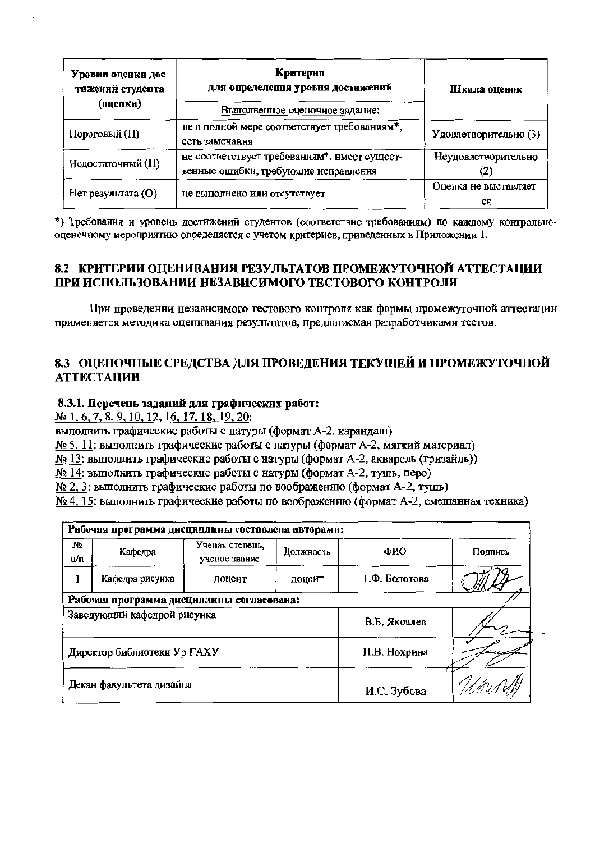| Уровни оценки дос-<br>тижений студента<br>(оценки) | Критерни<br>для определення уровня достнжений<br>Выполненное оценочное задание:      | Пікала оценок               |  |
|----------------------------------------------------|--------------------------------------------------------------------------------------|-----------------------------|--|
| Пороговый (П)                                      | не в полной мере соответствует требованиям*,<br>есть замечания                       | Удовлетворительно (3)       |  |
| Недостаточный (Н)                                  | не соответствует требованиям*, имеет сущеет-<br>венные ошибки, требующие исправления | Неудовлетворительно<br>(2)  |  |
| Нет результата (О)                                 | не выполнено или отсутствует                                                         | Оценка не выставляет-<br>CЯ |  |

\*) Требования и уровень достижений студентов (соответствие требованиям) по каждому контрольнооценочному мероприятию определяется с учетом критериев, приведенных в Приложении 1.

# 8.2 КРИТЕРИИ ОЦЕНИВАНИЯ РЕЗУЛЬТАТОВ ПРОМЕЖУТОЧНОЙ АТТЕСТАЦИИ ПРИ ИСПОЛЬЗОВАНИИ НЕЗАВИСИМОГО ТЕСТОВОГО КОНТРОЛЯ

При проведении пезависимого тестового контроля как формы промежуточной аттестацин применяется методика оценивания результатов, предлагаемая разработчиками тестов.

# 8.3 ОПЕНОЧНЫЕ СРЕДСТВА ДЛЯ ПРОВЕДЕНИЯ ТЕКУЩЕЙ И ПРОМЕЖУТОЧНОЙ **АТТЕСТАЦИИ**

### 8.3.1. Перечень заданий для графических работ:

№ 1, 6, 7, 8, 9, 10, 12, 16, 17, 18, 19, 20:

выполнить графические работы с патуры (формат А-2, карандаш)

№ 5, 11: выполнить графические работы с патуры (формат А-2, мягкий материал)

№ 13: выполнить графические работы с натуры (формат А-2, акварель (гризайль))

№ 14: выполнить графические работы с натуры (формат А-2, тушь, перо)

№ 2, 3: выполнить графические работы по воображению (формат А-2, тушь)

№ 4, 15: выполнить графические работы по воображению (формат А-2, смешанная техника)

| Рабочая программа дисциплины составлена авторами: |                 |                                  |             |               |         |  |
|---------------------------------------------------|-----------------|----------------------------------|-------------|---------------|---------|--|
| No<br>$\Pi/\Pi$                                   | Кафедра         | Ученая степень,<br>ученое звание | Должность   | ФИО           | Подпись |  |
|                                                   | Кафедра рисунка | доцент                           | доцеит      | Т.Ф. Болотова |         |  |
| Рабочая программа дисциплины согласована:         |                 |                                  |             |               |         |  |
| Заведующий кафедрой рисунка                       |                 | В.Б. Яковлев                     |             |               |         |  |
| Директор библиотеки Ур ГАХУ                       |                 |                                  |             | Н.В. Нохрина  |         |  |
| Декан факультета дизайна                          |                 |                                  | И.С. Зубова |               |         |  |